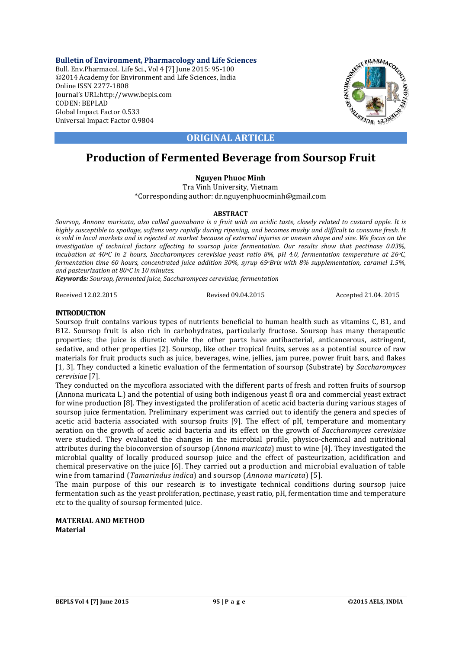**Bulletin of Environment, Pharmacology and Life Sciences** Bull. Env.Pharmacol. Life Sci., Vol 4 [7] June 2015: 95-100 ©2014 Academy for Environment and Life Sciences, India Online ISSN 2277-1808 Journal's URL:http://www.bepls.com CODEN: BEPLAD Global Impact Factor 0.533 Universal Impact Factor 0.9804



# **ORIGINAL ARTICLE**

# **Production of Fermented Beverage from Soursop Fruit**

## **Nguyen Phuoc Minh**

Tra Vinh University, Vietnam \*Corresponding author: dr.nguyenphuocminh@gmail.com

### **ABSTRACT**

*Soursop, Annona muricata, also called guanabana is a fruit with an acidic taste, closely related to custard apple. It is highly susceptible to spoilage, softens very rapidly during ripening, and becomes mushy and difficult to consume fresh. It is sold in local markets and is rejected at market because of external injuries or uneven shape and size. We focus on the investigation of technical factors affecting to soursop juice fermentation. Our results show that pectinase 0.03%, incubation at 40oC in 2 hours, Saccharomyces cerevisiae yeast ratio 8%, pH 4.0, fermentation temperature at 26oC, fermentation time 60 hours, concentrated juice addition 30%, syrup 65oBrix with 8% supplementation, caramel 1.5%, and pasteurization at 80oC in 10 minutes.*

*Keywords: Soursop, fermented juice, Saccharomyces cerevisiae, fermentation*

Received 12.02.2015 Revised 09.04.2015 Accepted 21.04. 2015

### **INTRODUCTION**

Soursop fruit contains various types of nutrients beneficial to human health such as vitamins C, B1, and B12. Soursop fruit is also rich in carbohydrates, particularly fructose. Soursop has many therapeutic properties; the juice is diuretic while the other parts have antibacterial, anticancerous, astringent, sedative, and other properties [2]. Soursop, like other tropical fruits, serves as a potential source of raw materials for fruit products such as juice, beverages, wine, jellies, jam puree, power fruit bars, and flakes [1, 3]. They conducted a kinetic evaluation of the fermentation of soursop (Substrate) by *Saccharomyces cerevisiae* [7].

They conducted on the mycoflora associated with the different parts of fresh and rotten fruits of soursop (Annona muricata L.) and the potential of using both indigenous yeast fl ora and commercial yeast extract for wine production [8]. They investigated the proliferation of acetic acid bacteria during various stages of soursop juice fermentation. Preliminary experiment was carried out to identify the genera and species of acetic acid bacteria associated with soursop fruits [9]. The effect of pH, temperature and momentary aeration on the growth of acetic acid bacteria and its effect on the growth of *Saccharomyces cerevisiae* were studied. They evaluated the changes in the microbial profile, physico-chemical and nutritional attributes during the bioconversion of soursop (*Annona muricata*) must to wine [4]. They investigated the microbial quality of locally produced soursop juice and the effect of pasteurization, acidification and chemical preservative on the juice [6]. They carried out a production and microbial evaluation of table wine from tamarind (*Tamarindus indica*) and soursop (*Annona muricata*) [5].

The main purpose of this our research is to investigate technical conditions during soursop juice fermentation such as the yeast proliferation, pectinase, yeast ratio, pH, fermentation time and temperature etc to the quality of soursop fermented juice.

### **MATERIAL AND METHOD Material**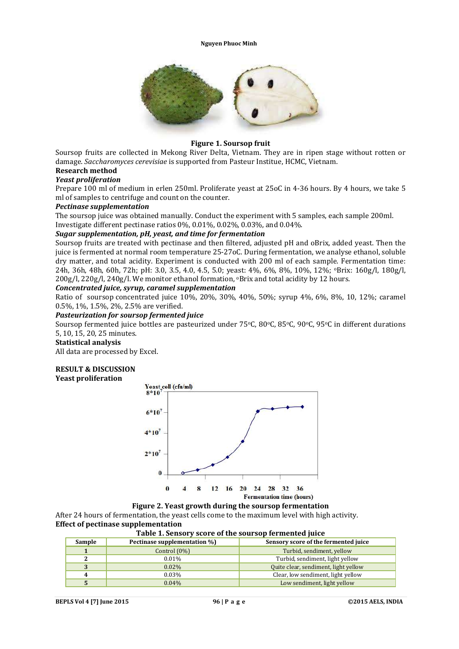

### **Figure 1. Soursop fruit**

Soursop fruits are collected in Mekong River Delta, Vietnam. They are in ripen stage without rotten or damage. *Saccharomyces cerevisiae* is supported from Pasteur Institue, HCMC, Vietnam.

# **Research method**

### *Yeast proliferation*

Prepare 100 ml of medium in erlen 250ml. Proliferate yeast at 25oC in 4-36 hours. By 4 hours, we take 5 ml of samples to centrifuge and count on the counter.

#### *Pectinase supplementation*

The soursop juice was obtained manually. Conduct the experiment with 5 samples, each sample 200ml. Investigate different pectinase ratios 0%, 0.01%, 0.02%, 0.03%, and 0.04%.

### *Sugar supplementation, pH, yeast, and time for fermentation*

Soursop fruits are treated with pectinase and then filtered, adjusted pH and oBrix, added yeast. Then the juice is fermented at normal room temperature 25-27oC. During fermentation, we analyse ethanol, soluble dry matter, and total acidity. Experiment is conducted with 200 ml of each sample. Fermentation time: 24h, 36h, 48h, 60h, 72h; pH: 3.0, 3.5, 4.0, 4.5, 5.0; yeast: 4%, 6%, 8%, 10%, 12%; oBrix: 160g/l, 180g/l,  $200g/l$ ,  $220g/l$ ,  $240g/l$ . We monitor ethanol formation, *Position* and total acidity by 12 hours.

### *Concentrated juice, syrup, caramel supplementation*

Ratio of soursop concentrated juice 10%, 20%, 30%, 40%, 50%; syrup 4%, 6%, 8%, 10, 12%; caramel 0.5%, 1%, 1.5%, 2%, 2.5% are verified.

### *Pasteurization for soursop fermented juice*

Soursop fermented juice bottles are pasteurized under 75°C, 80°C, 85°C, 90°C, 95°C in different durations 5, 10, 15, 20, 25 minutes.

#### **Statistical analysis**

All data are processed by Excel.

# **RESULT & DISCUSSION**

**Yeast proliferation**



#### **Figure 2. Yeast growth during the soursop fermentation**

After 24 hours of fermentation, the yeast cells come to the maximum level with high activity. **Effect of pectinase supplementation**

**Table 1. Sensory score of the soursop fermented juice**

| Sample | Pectinase supplementation %) | Sensory score of the fermented juice |
|--------|------------------------------|--------------------------------------|
|        | Control $(0\%)$              | Turbid, sendiment, yellow            |
|        | $0.01\%$                     | Turbid, sendiment, light yellow      |
|        | $0.02\%$                     | Quite clear, sendiment, light yellow |
|        | $0.03\%$                     | Clear, low sendiment, light yellow   |
|        | $0.04\%$                     | Low sendiment, light yellow          |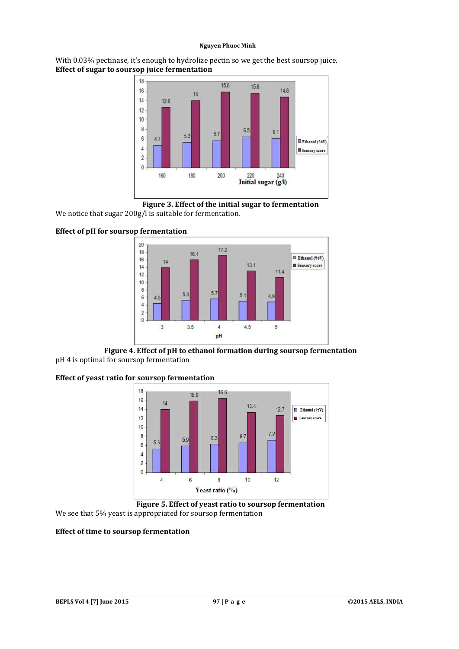With 0.03% pectinase, it's enough to hydrolize pectin so we get the best soursop juice. **Effect of sugar to soursop juice fermentation**



**Figure 3. Effect of the initial sugar to fermentation**

We notice that sugar 200g/l is suitable for fermentation.

## **Effect of pH for soursop fermentation**



**Figure 4. Effect of pH to ethanol formation during soursop fermentation** pH 4 is optimal for soursop fermentation

### **Effect of yeast ratio for soursop fermentation**



**Figure 5. Effect of yeast ratio to soursop fermentation** We see that 5% yeast is appropriated for soursop fermentation

### **Effect of time to soursop fermentation**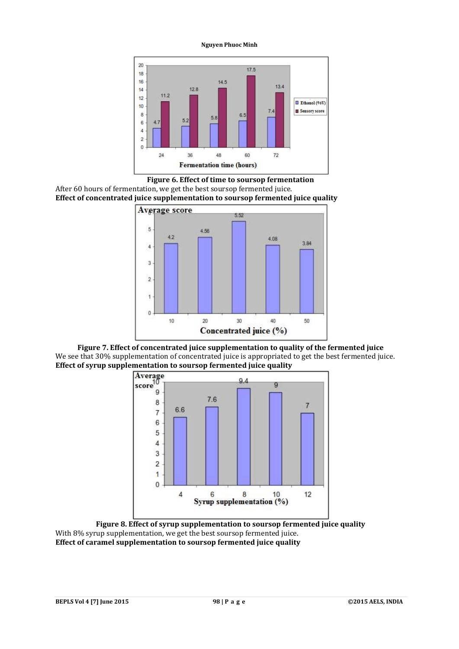









**Figure 8. Effect of syrup supplementation to soursop fermented juice quality** With 8% syrup supplementation, we get the best soursop fermented juice. **Effect of caramel supplementation to soursop fermented juice quality**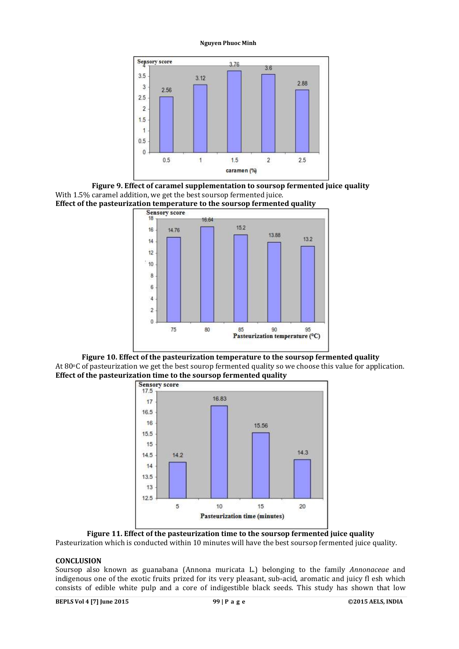



**Effect of the pasteurization temperature to the soursop fermented quality**<br>Sensory score



**Figure 10. Effect of the pasteurization temperature to the soursop fermented quality** At 80°C of pasteurization we get the best sourop fermented quality so we choose this value for application. **Effect of the pasteurization time to the soursop fermented quality**



**Figure 11. Effect of the pasteurization time to the soursop fermented juice quality** Pasteurization which is conducted within 10 minutes will have the best soursop fermented juice quality.

### **CONCLUSION**

Soursop also known as guanabana (Annona muricata L.) belonging to the family *Annonaceae* and indigenous one of the exotic fruits prized for its very pleasant, sub-acid, aromatic and juicy fl esh which consists of edible white pulp and a core of indigestible black seeds. This study has shown that low